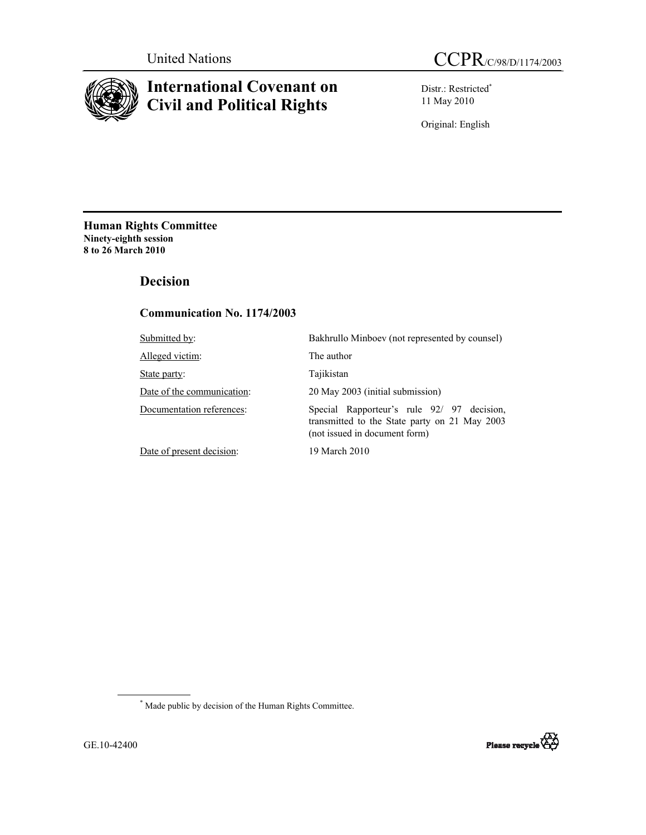

# **International Covenant on Civil and Political Rights**

Distr.: Restricted\* 11 May 2010

Original: English

**Human Rights Committee Ninety-eighth session 8 to 26 March 2010** 

# **Decision**

# **Communication No. 1174/2003**

| Submitted by:              | Bakhrullo Minboev (not represented by counsel)                                                                               |
|----------------------------|------------------------------------------------------------------------------------------------------------------------------|
| Alleged victim:            | The author                                                                                                                   |
| State party:               | Tajikistan                                                                                                                   |
| Date of the communication: | 20 May 2003 (initial submission)                                                                                             |
| Documentation references:  | Special Rapporteur's rule 92/ 97 decision,<br>transmitted to the State party on 21 May 2003<br>(not issued in document form) |
| Date of present decision:  | 19 March 2010                                                                                                                |

\* Made public by decision of the Human Rights Committee.

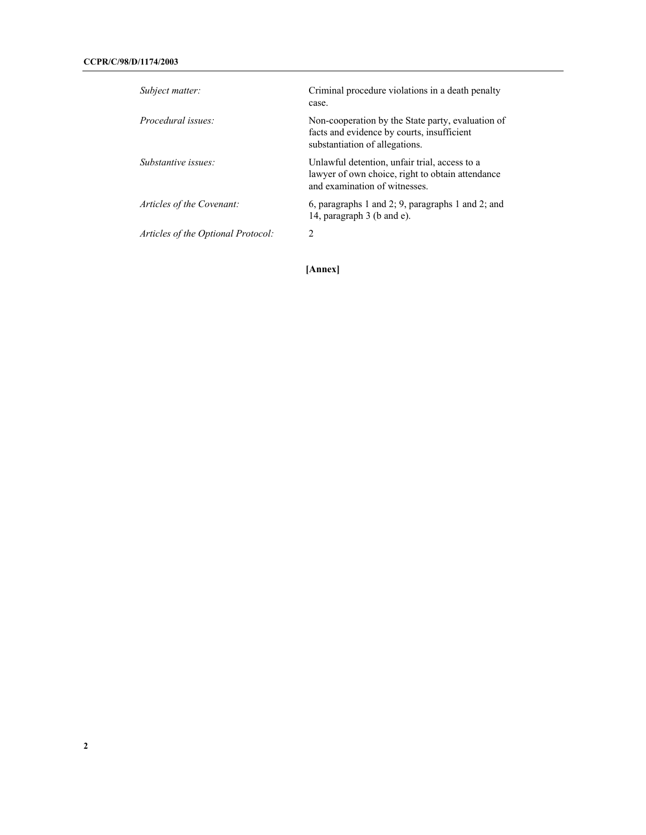| Subject matter:                    | Criminal procedure violations in a death penalty<br>case.                                                                          |
|------------------------------------|------------------------------------------------------------------------------------------------------------------------------------|
| Procedural issues:                 | Non-cooperation by the State party, evaluation of<br>facts and evidence by courts, insufficient<br>substantiation of allegations.  |
| Substantive issues:                | Unlawful detention, unfair trial, access to a<br>lawyer of own choice, right to obtain attendance<br>and examination of witnesses. |
| Articles of the Covenant:          | 6, paragraphs 1 and 2; 9, paragraphs 1 and 2; and<br>14, paragraph 3 (b and e).                                                    |
| Articles of the Optional Protocol: | 2                                                                                                                                  |

**[Annex]**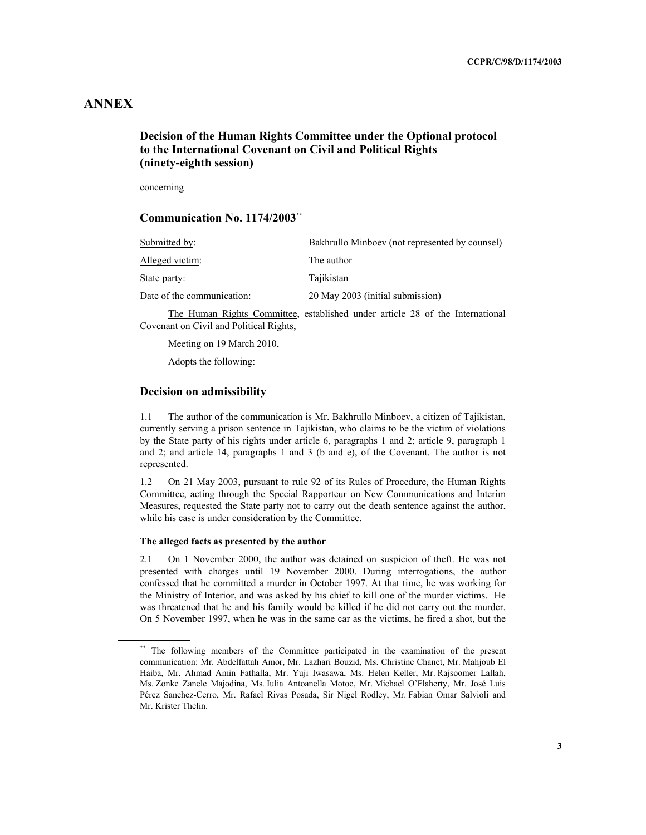# **ANNEX**

# **Decision of the Human Rights Committee under the Optional protocol to the International Covenant on Civil and Political Rights (ninety-eighth session)**

concerning

## **Communication No. 1174/2003\*\***

| Submitted by:              | Bakhrullo Minboev (not represented by counsel)                                                                 |
|----------------------------|----------------------------------------------------------------------------------------------------------------|
| Alleged victim:            | The author                                                                                                     |
| State party:               | Tajikistan                                                                                                     |
| Date of the communication: | 20 May 2003 (initial submission)                                                                               |
|                            | THE TERM OF THE CONTROL OF LITTLE 1999 IN 1999 AND THE CONTROL OF THE CONTROL OF THE CONTROL OF THE CONTROL OF |

The Human Rights Committee, established under article 28 of the International Covenant on Civil and Political Rights,

Meeting on 19 March 2010,

Adopts the following:

## **Decision on admissibility**

1.1 The author of the communication is Mr. Bakhrullo Minboev, a citizen of Tajikistan, currently serving a prison sentence in Tajikistan, who claims to be the victim of violations by the State party of his rights under article 6, paragraphs 1 and 2; article 9, paragraph 1 and 2; and article 14, paragraphs 1 and 3 (b and e), of the Covenant. The author is not represented.

1.2 On 21 May 2003, pursuant to rule 92 of its Rules of Procedure, the Human Rights Committee, acting through the Special Rapporteur on New Communications and Interim Measures, requested the State party not to carry out the death sentence against the author, while his case is under consideration by the Committee.

## **The alleged facts as presented by the author**

2.1 On 1 November 2000, the author was detained on suspicion of theft. He was not presented with charges until 19 November 2000. During interrogations, the author confessed that he committed a murder in October 1997. At that time, he was working for the Ministry of Interior, and was asked by his chief to kill one of the murder victims. He was threatened that he and his family would be killed if he did not carry out the murder. On 5 November 1997, when he was in the same car as the victims, he fired a shot, but the

<sup>\*\*</sup> The following members of the Committee participated in the examination of the present communication: Mr. Abdelfattah Amor, Mr. Lazhari Bouzid, Ms. Christine Chanet, Mr. Mahjoub El Haiba, Mr. Ahmad Amin Fathalla, Mr. Yuji Iwasawa, Ms. Helen Keller, Mr. Rajsoomer Lallah, Ms. Zonke Zanele Majodina, Ms. Iulia Antoanella Motoc, Mr. Michael O'Flaherty, Mr. José Luis Pérez Sanchez-Cerro, Mr. Rafael Rivas Posada, Sir Nigel Rodley, Mr. Fabian Omar Salvioli and Mr. Krister Thelin.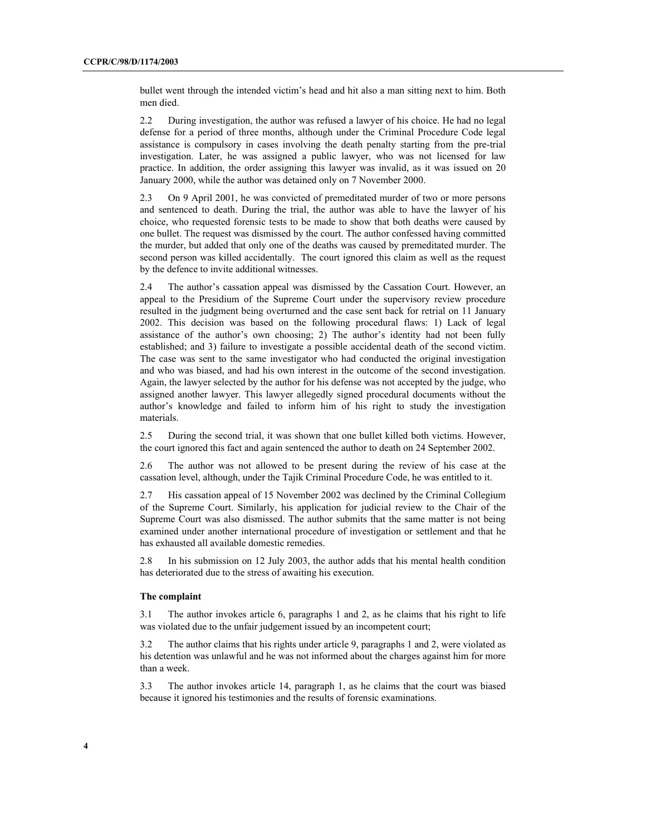bullet went through the intended victim's head and hit also a man sitting next to him. Both men died.

2.2 During investigation, the author was refused a lawyer of his choice. He had no legal defense for a period of three months, although under the Criminal Procedure Code legal assistance is compulsory in cases involving the death penalty starting from the pre-trial investigation. Later, he was assigned a public lawyer, who was not licensed for law practice. In addition, the order assigning this lawyer was invalid, as it was issued on 20 January 2000, while the author was detained only on 7 November 2000.

2.3 On 9 April 2001, he was convicted of premeditated murder of two or more persons and sentenced to death. During the trial, the author was able to have the lawyer of his choice, who requested forensic tests to be made to show that both deaths were caused by one bullet. The request was dismissed by the court. The author confessed having committed the murder, but added that only one of the deaths was caused by premeditated murder. The second person was killed accidentally. The court ignored this claim as well as the request by the defence to invite additional witnesses.

2.4 The author's cassation appeal was dismissed by the Cassation Court. However, an appeal to the Presidium of the Supreme Court under the supervisory review procedure resulted in the judgment being overturned and the case sent back for retrial on 11 January 2002. This decision was based on the following procedural flaws: 1) Lack of legal assistance of the author's own choosing; 2) The author's identity had not been fully established; and 3) failure to investigate a possible accidental death of the second victim. The case was sent to the same investigator who had conducted the original investigation and who was biased, and had his own interest in the outcome of the second investigation. Again, the lawyer selected by the author for his defense was not accepted by the judge, who assigned another lawyer. This lawyer allegedly signed procedural documents without the author's knowledge and failed to inform him of his right to study the investigation materials.

2.5 During the second trial, it was shown that one bullet killed both victims. However, the court ignored this fact and again sentenced the author to death on 24 September 2002.

2.6 The author was not allowed to be present during the review of his case at the cassation level, although, under the Tajik Criminal Procedure Code, he was entitled to it.

2.7 His cassation appeal of 15 November 2002 was declined by the Criminal Collegium of the Supreme Court. Similarly, his application for judicial review to the Chair of the Supreme Court was also dismissed. The author submits that the same matter is not being examined under another international procedure of investigation or settlement and that he has exhausted all available domestic remedies.

2.8 In his submission on 12 July 2003, the author adds that his mental health condition has deteriorated due to the stress of awaiting his execution.

### **The complaint**

3.1 The author invokes article 6, paragraphs 1 and 2, as he claims that his right to life was violated due to the unfair judgement issued by an incompetent court;

3.2 The author claims that his rights under article 9, paragraphs 1 and 2, were violated as his detention was unlawful and he was not informed about the charges against him for more than a week.

3.3 The author invokes article 14, paragraph 1, as he claims that the court was biased because it ignored his testimonies and the results of forensic examinations.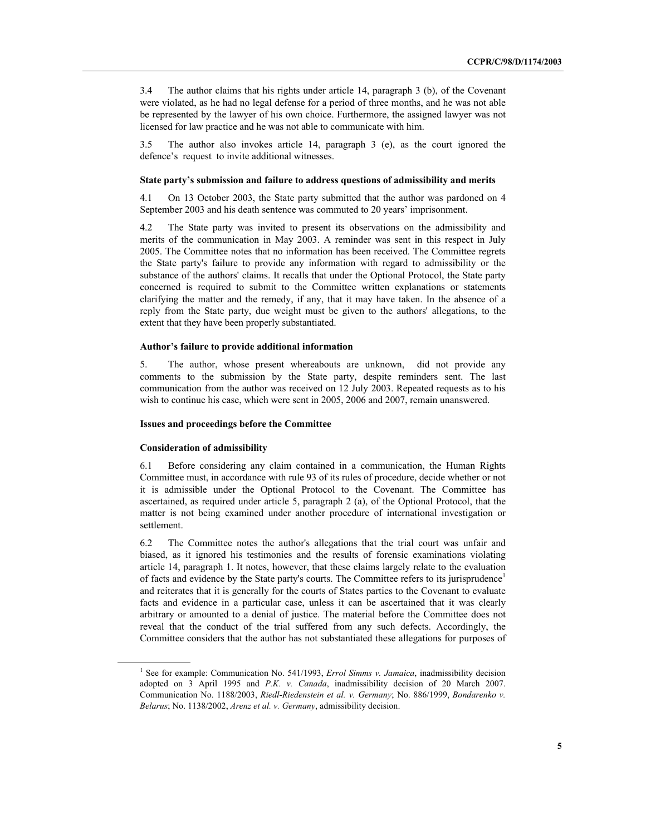3.4 The author claims that his rights under article 14, paragraph 3 (b), of the Covenant were violated, as he had no legal defense for a period of three months, and he was not able be represented by the lawyer of his own choice. Furthermore, the assigned lawyer was not licensed for law practice and he was not able to communicate with him.

3.5 The author also invokes article 14, paragraph 3 (e), as the court ignored the defence's request to invite additional witnesses.

#### **State party's submission and failure to address questions of admissibility and merits**

4.1 On 13 October 2003, the State party submitted that the author was pardoned on 4 September 2003 and his death sentence was commuted to 20 years' imprisonment.

4.2 The State party was invited to present its observations on the admissibility and merits of the communication in May 2003. A reminder was sent in this respect in July 2005. The Committee notes that no information has been received. The Committee regrets the State party's failure to provide any information with regard to admissibility or the substance of the authors' claims. It recalls that under the Optional Protocol, the State party concerned is required to submit to the Committee written explanations or statements clarifying the matter and the remedy, if any, that it may have taken. In the absence of a reply from the State party, due weight must be given to the authors' allegations, to the extent that they have been properly substantiated.

### **Author's failure to provide additional information**

5. The author, whose present whereabouts are unknown, did not provide any comments to the submission by the State party, despite reminders sent. The last communication from the author was received on 12 July 2003. Repeated requests as to his wish to continue his case, which were sent in 2005, 2006 and 2007, remain unanswered.

#### **Issues and proceedings before the Committee**

#### **Consideration of admissibility**

6.1 Before considering any claim contained in a communication, the Human Rights Committee must, in accordance with rule 93 of its rules of procedure, decide whether or not it is admissible under the Optional Protocol to the Covenant. The Committee has ascertained, as required under article 5, paragraph 2 (a), of the Optional Protocol, that the matter is not being examined under another procedure of international investigation or settlement.

6.2 The Committee notes the author's allegations that the trial court was unfair and biased, as it ignored his testimonies and the results of forensic examinations violating article 14, paragraph 1. It notes, however, that these claims largely relate to the evaluation of facts and evidence by the State party's courts. The Committee refers to its jurisprudence<sup>1</sup> and reiterates that it is generally for the courts of States parties to the Covenant to evaluate facts and evidence in a particular case, unless it can be ascertained that it was clearly arbitrary or amounted to a denial of justice. The material before the Committee does not reveal that the conduct of the trial suffered from any such defects. Accordingly, the Committee considers that the author has not substantiated these allegations for purposes of

<sup>&</sup>lt;sup>1</sup> See for example: Communication No. 541/1993, *Errol Simms v. Jamaica*, inadmissibility decision adopted on 3 April 1995 and *P.K. v. Canada*, inadmissibility decision of 20 March 2007. Communication No. 1188/2003, *Riedl-Riedenstein et al. v. Germany*; No. 886/1999, *Bondarenko v. Belarus*; No. 1138/2002, *Arenz et al. v. Germany*, admissibility decision.